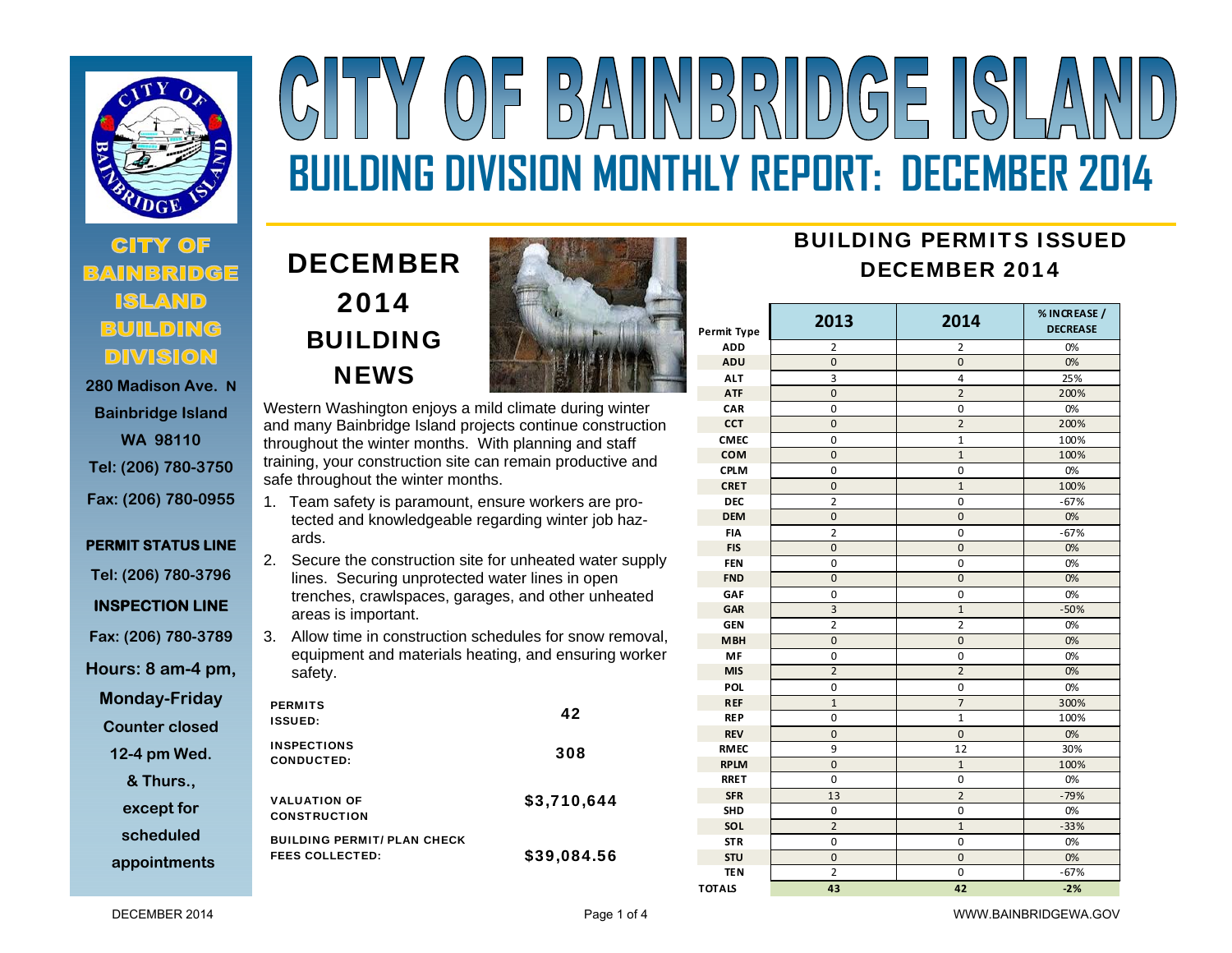

# **280 Madison Ave. N**

**Bainbridge Island WA 98110 Tel: (206) 780-3750 Fax: (206) 780-0955** 

# **PERMIT STATUS LINE Tel: (206) 780-3796**

**INSPECTION LINE** 

**Fax: (206) 780-3789** 

**Hours: 8 am-4 pm,** 

**Monday-Friday** 

**Counter closed** 

**12-4 pm Wed.** 

**& Thurs.,** 

**except for** 

**scheduled** 

**appointments**

# DECEMBER 2014 BUILDING **NEWS**



 $\overline{D}$ 

**BUILDING DIVISION MONTHLY REPORT: DECEMBER 2014** 

 $N$   $\sim$   $N$   $\sim$   $N$   $\sim$   $\sim$   $\sim$   $\sim$   $\sim$ 

Western Washington enjoys a mild climate during winter and many Bainbridge Island projects continue construction throughout the winter months. With planning and staff training, your construction site can remain productive and safe throughout the winter months.

- 1. Team safety is paramount, ensure workers are protected and knowledgeable regarding winter job hazards.
- 2. Secure the construction site for unheated water supply lines. Securing unprotected water lines in open trenches, crawlspaces, garages, and other unheated areas is important.
- 3. Allow time in construction schedules for snow removal, equipment and materials heating, and ensuring worker safety.

| <b>PERMITS</b><br><b>ISSUED:</b>                             | 42          |
|--------------------------------------------------------------|-------------|
| <b>INSPECTIONS</b><br><b>CONDUCTED:</b>                      | 308         |
| <b>VALUATION OF</b><br><b>CONSTRUCTION</b>                   | \$3,710,644 |
| <b>BUILDING PERMIT/ PLAN CHECK</b><br><b>FEES COLLECTED:</b> | \$39,084.56 |

# BUILDING PERMITS ISSUEDDECEMBER 2014

| <b>Permit Type</b> | 2013           | 2014           | % INCREASE /<br><b>DECREASE</b> |
|--------------------|----------------|----------------|---------------------------------|
| <b>ADD</b>         | $\overline{2}$ | 2              | 0%                              |
| <b>ADU</b>         | $\overline{0}$ | $\overline{0}$ | 0%                              |
| <b>ALT</b>         | 3              | 4              | 25%                             |
| <b>ATF</b>         | $\overline{0}$ | $\overline{2}$ | 200%                            |
| CAR                | 0              | $\mathbf 0$    | 0%                              |
| <b>CCT</b>         | $\overline{0}$ | $\overline{2}$ | 200%                            |
| <b>CMEC</b>        | 0              | $\mathbf{1}$   | 100%                            |
| COM                | $\overline{0}$ | $\mathbf{1}$   | 100%                            |
| <b>CPLM</b>        | 0              | 0              | 0%                              |
| <b>CRET</b>        | 0              | $1\,$          | 100%                            |
| <b>DEC</b>         | $\overline{2}$ | 0              | $-67%$                          |
| <b>DEM</b>         | 0              | $\mathbf{0}$   | 0%                              |
| <b>FIA</b>         | 2              | 0              | $-67%$                          |
| <b>FIS</b>         | $\overline{0}$ | $\mathbf 0$    | 0%                              |
| <b>FEN</b>         | 0              | 0              | 0%                              |
| <b>FND</b>         | $\overline{0}$ | $\overline{0}$ | 0%                              |
| GAF                | 0              | 0              | 0%                              |
| GAR                | $\overline{3}$ | $\mathbf{1}$   | $-50%$                          |
| <b>GEN</b>         | $\overline{2}$ | $\overline{2}$ | 0%                              |
| <b>MBH</b>         | $\overline{0}$ | $\overline{0}$ | 0%                              |
| MF                 | 0              | 0              | 0%                              |
| <b>MIS</b>         | $\overline{2}$ | $\overline{2}$ | 0%                              |
| <b>POL</b>         | 0              | 0              | 0%                              |
| <b>REF</b>         | $\mathbf{1}$   | $\overline{7}$ | 300%                            |
| <b>REP</b>         | 0              | $\mathbf{1}$   | 100%                            |
| <b>REV</b>         | $\mathbf 0$    | $\mathbf 0$    | 0%                              |
| <b>RMEC</b>        | 9              | 12             | 30%                             |
| <b>RPLM</b>        | $\mathbf 0$    | $\mathbf{1}$   | 100%                            |
| <b>RRET</b>        | 0              | 0              | 0%                              |
| <b>SFR</b>         | 13             | $\overline{2}$ | $-79%$                          |
| <b>SHD</b>         | 0              | 0              | 0%                              |
| SOL                | $\overline{2}$ | $\mathbf{1}$   | $-33%$                          |
| <b>STR</b>         | 0              | $\overline{0}$ | 0%                              |
| STU                | $\mathbf 0$    | $\mathbf 0$    | 0%                              |
| <b>TEN</b>         | $\overline{2}$ | 0              | $-67%$                          |
| <b>TOTALS</b>      | 43             | 42             | $-2%$                           |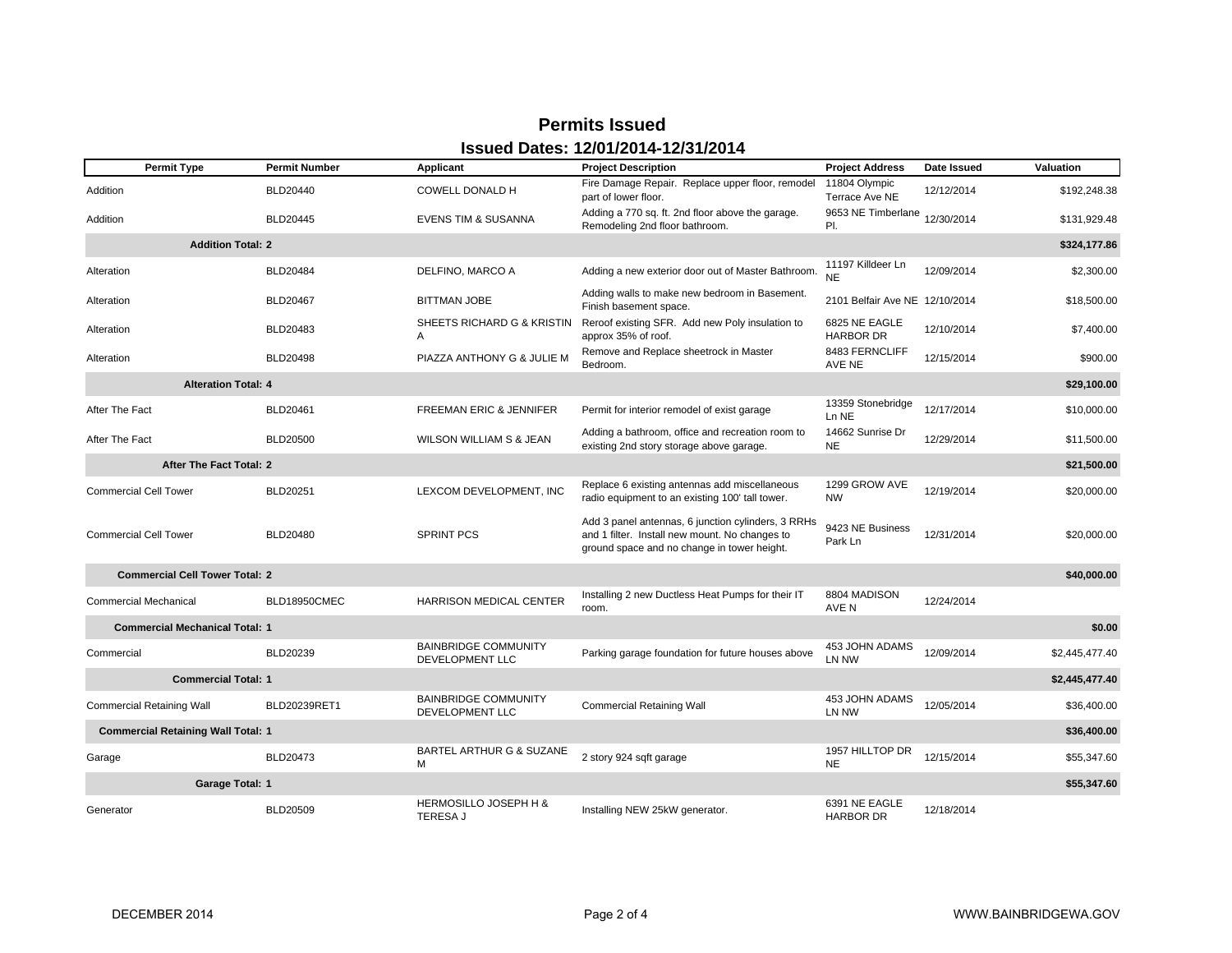# **Permits Issued Issued Dates: 12/01/2014-12/31/2014**

| <b>Permit Type</b>                                       | <b>Permit Number</b> | Applicant                                             | <b>Project Description</b>                                                                                                                          | <b>Project Address</b>            | Date Issued | <b>Valuation</b> |
|----------------------------------------------------------|----------------------|-------------------------------------------------------|-----------------------------------------------------------------------------------------------------------------------------------------------------|-----------------------------------|-------------|------------------|
| Addition                                                 | BLD20440             | COWELL DONALD H                                       | Fire Damage Repair. Replace upper floor, remodel<br>part of lower floor.                                                                            | 11804 Olympic<br>Terrace Ave NE   | 12/12/2014  | \$192,248.38     |
| Addition                                                 | <b>BLD20445</b>      | <b>EVENS TIM &amp; SUSANNA</b>                        | Adding a 770 sq. ft. 2nd floor above the garage.<br>Remodeling 2nd floor bathroom.                                                                  | 9653 NE Timberlane<br>PI.         | 12/30/2014  | \$131,929.48     |
| <b>Addition Total: 2</b>                                 |                      |                                                       |                                                                                                                                                     |                                   |             | \$324,177.86     |
| Alteration                                               | BLD20484             | DELFINO, MARCO A                                      | Adding a new exterior door out of Master Bathroom.                                                                                                  | 11197 Killdeer Ln<br><b>NE</b>    | 12/09/2014  | \$2,300.00       |
| Alteration                                               | <b>BLD20467</b>      | <b>BITTMAN JOBE</b>                                   | Adding walls to make new bedroom in Basement.<br>Finish basement space.                                                                             | 2101 Belfair Ave NE 12/10/2014    |             | \$18,500.00      |
| Alteration                                               | BLD20483             | SHEETS RICHARD G & KRISTIN<br>A                       | Reroof existing SFR. Add new Poly insulation to<br>approx 35% of roof.                                                                              | 6825 NE EAGLE<br><b>HARBOR DR</b> | 12/10/2014  | \$7,400.00       |
| Alteration                                               | <b>BLD20498</b>      | PIAZZA ANTHONY G & JULIE M                            | Remove and Replace sheetrock in Master<br>Bedroom.                                                                                                  | 8483 FERNCLIFF<br>AVE NE          | 12/15/2014  | \$900.00         |
| <b>Alteration Total: 4</b>                               |                      |                                                       |                                                                                                                                                     |                                   |             | \$29,100.00      |
| After The Fact                                           | BLD20461             | FREEMAN ERIC & JENNIFER                               | Permit for interior remodel of exist garage                                                                                                         | 13359 Stonebridge<br>Ln NE        | 12/17/2014  | \$10,000.00      |
| After The Fact                                           | <b>BLD20500</b>      | <b>WILSON WILLIAM S &amp; JEAN</b>                    | Adding a bathroom, office and recreation room to<br>existing 2nd story storage above garage.                                                        | 14662 Sunrise Dr<br><b>NE</b>     | 12/29/2014  | \$11,500.00      |
| <b>After The Fact Total: 2</b><br>\$21,500.00            |                      |                                                       |                                                                                                                                                     |                                   |             |                  |
| <b>Commercial Cell Tower</b>                             | BLD20251             | LEXCOM DEVELOPMENT, INC                               | Replace 6 existing antennas add miscellaneous<br>radio equipment to an existing 100' tall tower.                                                    | 1299 GROW AVE<br><b>NW</b>        | 12/19/2014  | \$20,000.00      |
| <b>Commercial Cell Tower</b>                             | <b>BLD20480</b>      | <b>SPRINT PCS</b>                                     | Add 3 panel antennas, 6 junction cylinders, 3 RRHs<br>and 1 filter. Install new mount. No changes to<br>ground space and no change in tower height. | 9423 NE Business<br>Park Ln       | 12/31/2014  | \$20,000.00      |
| <b>Commercial Cell Tower Total: 2</b>                    |                      |                                                       |                                                                                                                                                     |                                   |             | \$40,000.00      |
| <b>Commercial Mechanical</b>                             | BLD18950CMEC         | <b>HARRISON MEDICAL CENTER</b>                        | Installing 2 new Ductless Heat Pumps for their IT<br>room.                                                                                          | 8804 MADISON<br>AVE N             | 12/24/2014  |                  |
| <b>Commercial Mechanical Total: 1</b>                    |                      |                                                       |                                                                                                                                                     |                                   |             | \$0.00           |
| Commercial                                               | BLD20239             | <b>BAINBRIDGE COMMUNITY</b><br><b>DEVELOPMENT LLC</b> | Parking garage foundation for future houses above                                                                                                   | 453 JOHN ADAMS<br>LN NW           | 12/09/2014  | \$2,445,477.40   |
| <b>Commercial Total: 1</b>                               |                      |                                                       |                                                                                                                                                     |                                   |             | \$2,445,477.40   |
| <b>Commercial Retaining Wall</b>                         | BLD20239RET1         | <b>BAINBRIDGE COMMUNITY</b><br>DEVELOPMENT LLC        | <b>Commercial Retaining Wall</b>                                                                                                                    | 453 JOHN ADAMS<br>LN NW           | 12/05/2014  | \$36,400.00      |
| <b>Commercial Retaining Wall Total: 1</b><br>\$36,400.00 |                      |                                                       |                                                                                                                                                     |                                   |             |                  |
| Garage                                                   | BLD20473             | BARTEL ARTHUR G & SUZANE<br>M                         | 2 story 924 sqft garage                                                                                                                             | 1957 HILLTOP DR<br><b>NE</b>      | 12/15/2014  | \$55,347.60      |
| Garage Total: 1<br>\$55,347.60                           |                      |                                                       |                                                                                                                                                     |                                   |             |                  |
| Generator                                                | BLD20509             | <b>HERMOSILLO JOSEPH H &amp;</b><br><b>TERESA J</b>   | Installing NEW 25kW generator.                                                                                                                      | 6391 NE EAGLE<br><b>HARBOR DR</b> | 12/18/2014  |                  |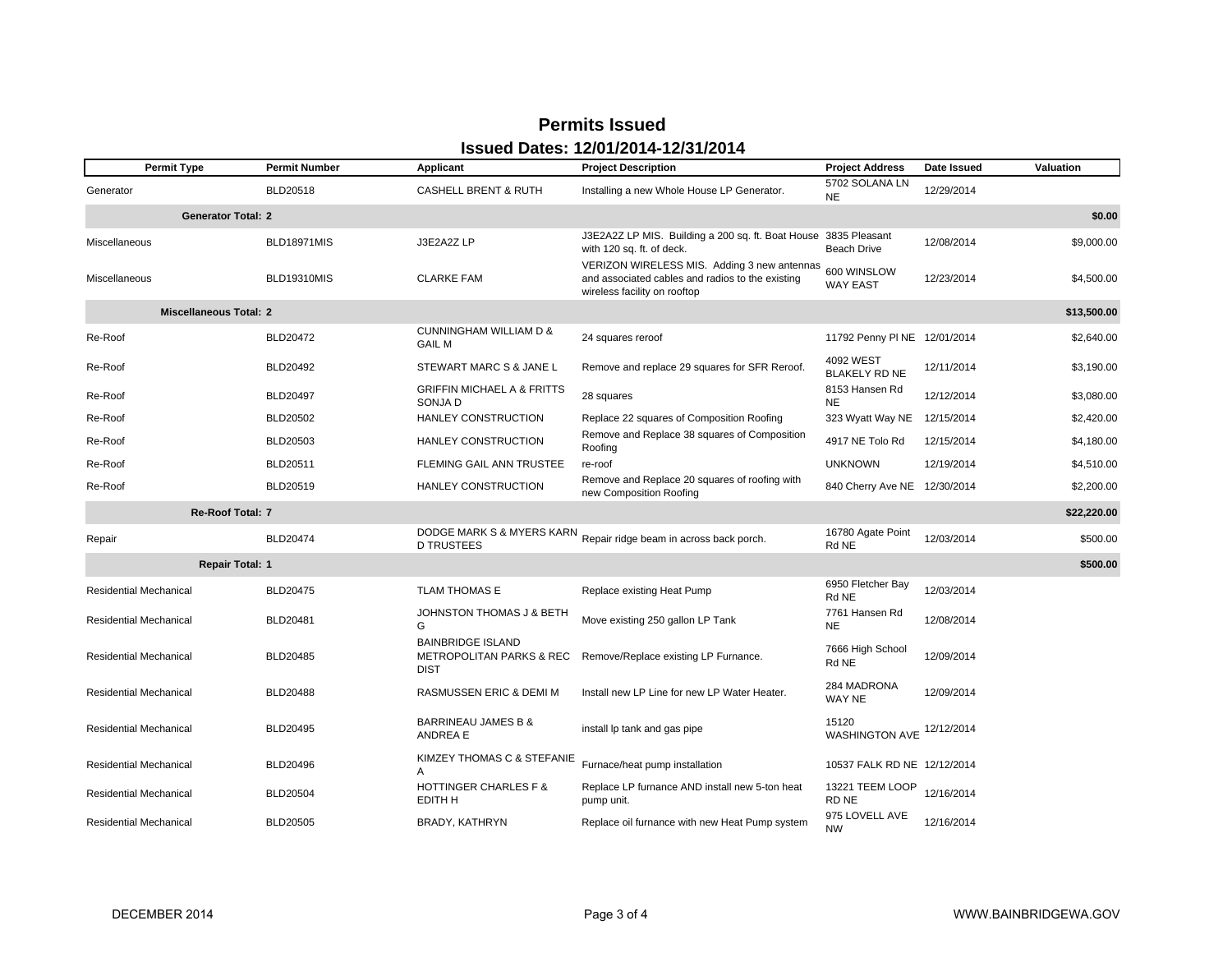# **Permits Issued Issued Dates: 12/01/2014-12/31/2014**

| <b>Permit Type</b>            | <b>Permit Number</b> | Applicant                                                                      | <b>Project Description</b>                                                                                                      | <b>Project Address</b>              | Date Issued | Valuation   |
|-------------------------------|----------------------|--------------------------------------------------------------------------------|---------------------------------------------------------------------------------------------------------------------------------|-------------------------------------|-------------|-------------|
| Generator                     | BLD20518             | <b>CASHELL BRENT &amp; RUTH</b>                                                | Installing a new Whole House LP Generator.                                                                                      | 5702 SOLANA LN<br><b>NE</b>         | 12/29/2014  |             |
| <b>Generator Total: 2</b>     |                      |                                                                                |                                                                                                                                 |                                     |             | \$0.00      |
| Miscellaneous                 | <b>BLD18971MIS</b>   | J3E2A2Z LP                                                                     | J3E2A2Z LP MIS. Building a 200 sq. ft. Boat House<br>with 120 sq. ft. of deck.                                                  | 3835 Pleasant<br><b>Beach Drive</b> | 12/08/2014  | \$9,000.00  |
| <b>Miscellaneous</b>          | <b>BLD19310MIS</b>   | <b>CLARKE FAM</b>                                                              | VERIZON WIRELESS MIS. Adding 3 new antennas<br>and associated cables and radios to the existing<br>wireless facility on rooftop | 600 WINSLOW<br><b>WAY EAST</b>      | 12/23/2014  | \$4,500.00  |
| <b>Miscellaneous Total: 2</b> |                      |                                                                                |                                                                                                                                 |                                     |             | \$13,500.00 |
| Re-Roof                       | BLD20472             | CUNNINGHAM WILLIAM D &<br><b>GAIL M</b>                                        | 24 squares reroof                                                                                                               | 11792 Penny PI NE 12/01/2014        |             | \$2,640.00  |
| Re-Roof                       | <b>BLD20492</b>      | STEWART MARC S & JANE L                                                        | Remove and replace 29 squares for SFR Reroof.                                                                                   | 4092 WEST<br><b>BLAKELY RD NE</b>   | 12/11/2014  | \$3,190.00  |
| Re-Roof                       | <b>BLD20497</b>      | <b>GRIFFIN MICHAEL A &amp; FRITTS</b><br>SONJA D                               | 28 squares                                                                                                                      | 8153 Hansen Rd<br><b>NE</b>         | 12/12/2014  | \$3,080.00  |
| Re-Roof                       | <b>BLD20502</b>      | HANLEY CONSTRUCTION                                                            | Replace 22 squares of Composition Roofing                                                                                       | 323 Wyatt Way NE                    | 12/15/2014  | \$2,420.00  |
| Re-Roof                       | <b>BLD20503</b>      | HANLEY CONSTRUCTION                                                            | Remove and Replace 38 squares of Composition<br>Roofing                                                                         | 4917 NE Tolo Rd                     | 12/15/2014  | \$4,180.00  |
| Re-Roof                       | BLD20511             | FLEMING GAIL ANN TRUSTEE                                                       | re-roof                                                                                                                         | <b>UNKNOWN</b>                      | 12/19/2014  | \$4,510.00  |
| Re-Roof                       | BLD20519             | HANLEY CONSTRUCTION                                                            | Remove and Replace 20 squares of roofing with<br>new Composition Roofing                                                        | 840 Cherry Ave NE 12/30/2014        |             | \$2,200.00  |
| Re-Roof Total: 7              |                      |                                                                                |                                                                                                                                 |                                     |             | \$22,220.00 |
| Repair                        | <b>BLD20474</b>      | DODGE MARK S & MYERS KARN<br><b>D TRUSTEES</b>                                 | Repair ridge beam in across back porch.                                                                                         | 16780 Agate Point<br>Rd NE          | 12/03/2014  | \$500.00    |
| <b>Repair Total: 1</b>        |                      |                                                                                |                                                                                                                                 |                                     |             | \$500.00    |
| <b>Residential Mechanical</b> | <b>BLD20475</b>      | <b>TLAM THOMAS E</b>                                                           | Replace existing Heat Pump                                                                                                      | 6950 Fletcher Bay<br>Rd NE          | 12/03/2014  |             |
| Residential Mechanical        | BLD20481             | JOHNSTON THOMAS J & BETH<br>G                                                  | Move existing 250 gallon LP Tank                                                                                                | 7761 Hansen Rd<br><b>NE</b>         | 12/08/2014  |             |
| <b>Residential Mechanical</b> | BLD20485             | <b>BAINBRIDGE ISLAND</b><br><b>METROPOLITAN PARKS &amp; REC</b><br><b>DIST</b> | Remove/Replace existing LP Furnance.                                                                                            | 7666 High School<br>Rd NE           | 12/09/2014  |             |
| <b>Residential Mechanical</b> | <b>BLD20488</b>      | RASMUSSEN ERIC & DEMI M                                                        | Install new LP Line for new LP Water Heater.                                                                                    | 284 MADRONA<br>WAY NE               | 12/09/2014  |             |
| <b>Residential Mechanical</b> | <b>BLD20495</b>      | <b>BARRINEAU JAMES B &amp;</b><br>ANDREA E                                     | install Ip tank and gas pipe                                                                                                    | 15120<br><b>WASHINGTON AVE</b>      | 12/12/2014  |             |
| <b>Residential Mechanical</b> | <b>BLD20496</b>      | KIMZEY THOMAS C & STEFANIE<br>A                                                | Furnace/heat pump installation                                                                                                  | 10537 FALK RD NE 12/12/2014         |             |             |
| <b>Residential Mechanical</b> | <b>BLD20504</b>      | <b>HOTTINGER CHARLES F &amp;</b><br>EDITH H                                    | Replace LP furnance AND install new 5-ton heat<br>pump unit.                                                                    | 13221 TEEM LOOP<br>RD NE            | 12/16/2014  |             |
| <b>Residential Mechanical</b> | <b>BLD20505</b>      | BRADY, KATHRYN                                                                 | Replace oil furnance with new Heat Pump system                                                                                  | 975 LOVELL AVE<br>NW                | 12/16/2014  |             |